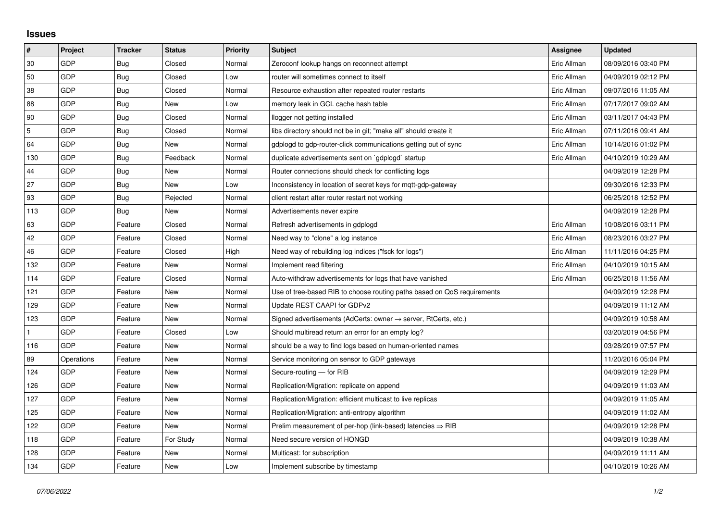## **Issues**

| $\vert$ #  | Project    | <b>Tracker</b> | <b>Status</b> | <b>Priority</b> | <b>Subject</b>                                                             | <b>Assignee</b> | <b>Updated</b>      |
|------------|------------|----------------|---------------|-----------------|----------------------------------------------------------------------------|-----------------|---------------------|
| 30         | GDP        | Bug            | Closed        | Normal          | Zeroconf lookup hangs on reconnect attempt                                 | Eric Allman     | 08/09/2016 03:40 PM |
| 50         | GDP        | Bug            | Closed        | Low             | router will sometimes connect to itself                                    | Eric Allman     | 04/09/2019 02:12 PM |
| 38         | GDP        | Bug            | Closed        | Normal          | Resource exhaustion after repeated router restarts                         | Eric Allman     | 09/07/2016 11:05 AM |
| 88         | GDP        | Bug            | New           | Low             | memory leak in GCL cache hash table                                        | Eric Allman     | 07/17/2017 09:02 AM |
| 90         | GDP        | Bug            | Closed        | Normal          | llogger not getting installed                                              | Eric Allman     | 03/11/2017 04:43 PM |
| $\sqrt{5}$ | GDP        | Bug            | Closed        | Normal          | libs directory should not be in git; "make all" should create it           | Eric Allman     | 07/11/2016 09:41 AM |
| 64         | GDP        | Bug            | New           | Normal          | gdplogd to gdp-router-click communications getting out of sync             | Eric Allman     | 10/14/2016 01:02 PM |
| 130        | GDP        | Bug            | Feedback      | Normal          | duplicate advertisements sent on `gdplogd` startup                         | Eric Allman     | 04/10/2019 10:29 AM |
| 44         | GDP        | Bug            | New           | Normal          | Router connections should check for conflicting logs                       |                 | 04/09/2019 12:28 PM |
| 27         | GDP        | Bug            | <b>New</b>    | Low             | Inconsistency in location of secret keys for mqtt-gdp-gateway              |                 | 09/30/2016 12:33 PM |
| 93         | GDP        | Bug            | Rejected      | Normal          | client restart after router restart not working                            |                 | 06/25/2018 12:52 PM |
| 113        | GDP        | Bug            | <b>New</b>    | Normal          | Advertisements never expire                                                |                 | 04/09/2019 12:28 PM |
| 63         | GDP        | Feature        | Closed        | Normal          | Refresh advertisements in gdplogd                                          | Eric Allman     | 10/08/2016 03:11 PM |
| 42         | GDP        | Feature        | Closed        | Normal          | Need way to "clone" a log instance                                         | Eric Allman     | 08/23/2016 03:27 PM |
| 46         | GDP        | Feature        | Closed        | High            | Need way of rebuilding log indices ("fsck for logs")                       | Eric Allman     | 11/11/2016 04:25 PM |
| 132        | GDP        | Feature        | New           | Normal          | Implement read filtering                                                   | Eric Allman     | 04/10/2019 10:15 AM |
| 114        | GDP        | Feature        | Closed        | Normal          | Auto-withdraw advertisements for logs that have vanished                   | Eric Allman     | 06/25/2018 11:56 AM |
| 121        | GDP        | Feature        | New           | Normal          | Use of tree-based RIB to choose routing paths based on QoS requirements    |                 | 04/09/2019 12:28 PM |
| 129        | GDP        | Feature        | New           | Normal          | Update REST CAAPI for GDPv2                                                |                 | 04/09/2019 11:12 AM |
| 123        | GDP        | Feature        | New           | Normal          | Signed advertisements (AdCerts: owner $\rightarrow$ server, RtCerts, etc.) |                 | 04/09/2019 10:58 AM |
|            | GDP        | Feature        | Closed        | Low             | Should multiread return an error for an empty log?                         |                 | 03/20/2019 04:56 PM |
| 116        | GDP        | Feature        | New           | Normal          | should be a way to find logs based on human-oriented names                 |                 | 03/28/2019 07:57 PM |
| 89         | Operations | Feature        | New           | Normal          | Service monitoring on sensor to GDP gateways                               |                 | 11/20/2016 05:04 PM |
| 124        | GDP        | Feature        | New           | Normal          | Secure-routing - for RIB                                                   |                 | 04/09/2019 12:29 PM |
| 126        | GDP        | Feature        | New           | Normal          | Replication/Migration: replicate on append                                 |                 | 04/09/2019 11:03 AM |
| 127        | GDP        | Feature        | New           | Normal          | Replication/Migration: efficient multicast to live replicas                |                 | 04/09/2019 11:05 AM |
| 125        | GDP        | Feature        | New           | Normal          | Replication/Migration: anti-entropy algorithm                              |                 | 04/09/2019 11:02 AM |
| 122        | GDP        | Feature        | New           | Normal          | Prelim measurement of per-hop (link-based) latencies $\Rightarrow$ RIB     |                 | 04/09/2019 12:28 PM |
| 118        | GDP        | Feature        | For Study     | Normal          | Need secure version of HONGD                                               |                 | 04/09/2019 10:38 AM |
| 128        | GDP        | Feature        | New           | Normal          | Multicast: for subscription                                                |                 | 04/09/2019 11:11 AM |
| 134        | GDP        | Feature        | New           | Low             | Implement subscribe by timestamp                                           |                 | 04/10/2019 10:26 AM |